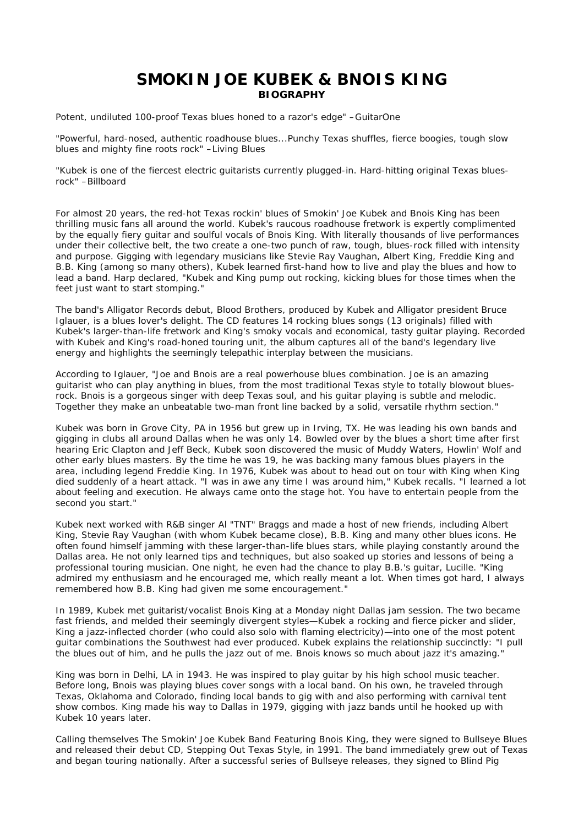## **SMOKIN JOE KUBEK & BNOIS KING BIOGRAPHY**

*Potent, undiluted 100-proof Texas blues honed to a razor's edge*" –GuitarOne

"*Powerful, hard-nosed, authentic roadhouse blues...Punchy Texas shuffles, fierce boogies, tough slow blues and mighty fine roots rock*" –Living Blues

"*Kubek is one of the fiercest electric guitarists currently plugged-in. Hard-hitting original Texas bluesrock*" –Billboard

For almost 20 years, the red-hot Texas rockin' blues of Smokin' Joe Kubek and Bnois King has been thrilling music fans all around the world. Kubek's raucous roadhouse fretwork is expertly complimented by the equally fiery guitar and soulful vocals of Bnois King. With literally thousands of live performances under their collective belt, the two create a one-two punch of raw, tough, blues-rock filled with intensity and purpose. Gigging with legendary musicians like Stevie Ray Vaughan, Albert King, Freddie King and B.B. King (among so many others), Kubek learned first-hand how to live and play the blues and how to lead a band. Harp declared, "Kubek and King pump out rocking, kicking blues for those times when the feet just want to start stomping."

The band's Alligator Records debut, Blood Brothers, produced by Kubek and Alligator president Bruce Iglauer, is a blues lover's delight. The CD features 14 rocking blues songs (13 originals) filled with Kubek's larger-than-life fretwork and King's smoky vocals and economical, tasty guitar playing. Recorded with Kubek and King's road-honed touring unit, the album captures all of the band's legendary live energy and highlights the seemingly telepathic interplay between the musicians.

According to Iglauer, "Joe and Bnois are a real powerhouse blues combination. Joe is an amazing guitarist who can play anything in blues, from the most traditional Texas style to totally blowout bluesrock. Bnois is a gorgeous singer with deep Texas soul, and his guitar playing is subtle and melodic. Together they make an unbeatable two-man front line backed by a solid, versatile rhythm section."

Kubek was born in Grove City, PA in 1956 but grew up in Irving, TX. He was leading his own bands and gigging in clubs all around Dallas when he was only 14. Bowled over by the blues a short time after first hearing Eric Clapton and Jeff Beck, Kubek soon discovered the music of Muddy Waters, Howlin' Wolf and other early blues masters. By the time he was 19, he was backing many famous blues players in the area, including legend Freddie King. In 1976, Kubek was about to head out on tour with King when King died suddenly of a heart attack. "I was in awe any time I was around him," Kubek recalls. "I learned a lot about feeling and execution. He always came onto the stage hot. You have to entertain people from the second you start."

Kubek next worked with R&B singer Al "TNT" Braggs and made a host of new friends, including Albert King, Stevie Ray Vaughan (with whom Kubek became close), B.B. King and many other blues icons. He often found himself jamming with these larger-than-life blues stars, while playing constantly around the Dallas area. He not only learned tips and techniques, but also soaked up stories and lessons of being a professional touring musician. One night, he even had the chance to play B.B.'s guitar, Lucille. "King admired my enthusiasm and he encouraged me, which really meant a lot. When times got hard, I always remembered how B.B. King had given me some encouragement."

In 1989, Kubek met guitarist/vocalist Bnois King at a Monday night Dallas jam session. The two became fast friends, and melded their seemingly divergent styles—Kubek a rocking and fierce picker and slider, King a jazz-inflected chorder (who could also solo with flaming electricity)—into one of the most potent guitar combinations the Southwest had ever produced. Kubek explains the relationship succinctly: "I pull the blues out of him, and he pulls the jazz out of me. Bnois knows so much about jazz it's amazing."

King was born in Delhi, LA in 1943. He was inspired to play guitar by his high school music teacher. Before long, Bnois was playing blues cover songs with a local band. On his own, he traveled through Texas, Oklahoma and Colorado, finding local bands to gig with and also performing with carnival tent show combos. King made his way to Dallas in 1979, gigging with jazz bands until he hooked up with Kubek 10 years later.

Calling themselves The Smokin' Joe Kubek Band Featuring Bnois King, they were signed to Bullseye Blues and released their debut CD, Stepping Out Texas Style, in 1991. The band immediately grew out of Texas and began touring nationally. After a successful series of Bullseye releases, they signed to Blind Pig